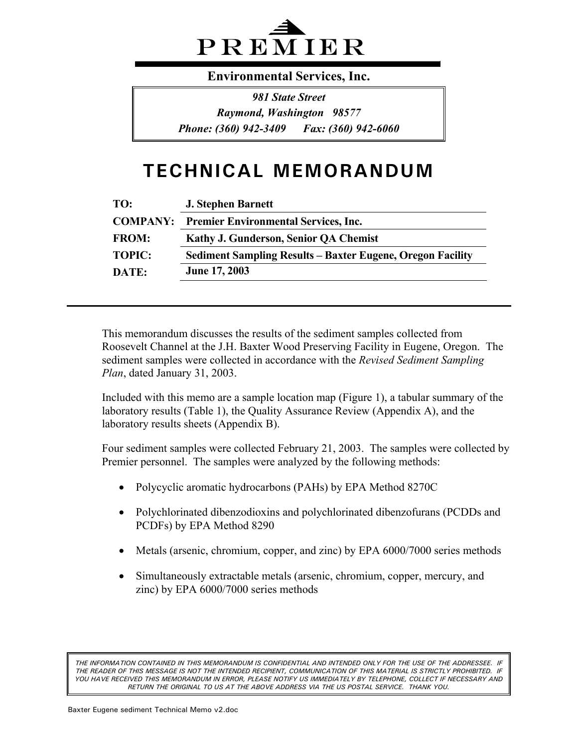

**Environmental Services, Inc.** 

*981 State Street Raymond, Washington 98577 Phone: (360) 942-3409 Fax: (360) 942-6060*

# **TECHNICAL MEMORANDUM**

| <b>J. Stephen Barnett</b>                                         |
|-------------------------------------------------------------------|
| <b>COMPANY:</b> Premier Environmental Services, Inc.              |
| Kathy J. Gunderson, Senior QA Chemist                             |
| <b>Sediment Sampling Results – Baxter Eugene, Oregon Facility</b> |
| <b>June 17, 2003</b>                                              |
|                                                                   |

This memorandum discusses the results of the sediment samples collected from Roosevelt Channel at the J.H. Baxter Wood Preserving Facility in Eugene, Oregon. The sediment samples were collected in accordance with the *Revised Sediment Sampling Plan*, dated January 31, 2003.

Included with this memo are a sample location map (Figure 1), a tabular summary of the laboratory results (Table 1), the Quality Assurance Review (Appendix A), and the laboratory results sheets (Appendix B).

Four sediment samples were collected February 21, 2003. The samples were collected by Premier personnel. The samples were analyzed by the following methods:

- Polycyclic aromatic hydrocarbons (PAHs) by EPA Method 8270C
- Polychlorinated dibenzodioxins and polychlorinated dibenzofurans (PCDDs and PCDFs) by EPA Method 8290
- Metals (arsenic, chromium, copper, and zinc) by EPA 6000/7000 series methods
- Simultaneously extractable metals (arsenic, chromium, copper, mercury, and zinc) by EPA 6000/7000 series methods

*THE INFORMATION CONTAINED IN THIS MEMORANDUM IS CONFIDENTIAL AND INTENDED ONLY FOR THE USE OF THE ADDRESSEE. IF THE READER OF THIS MESSAGE IS NOT THE INTENDED RECIPIENT, COMMUNICATION OF THIS MATERIAL IS STRICTLY PROHIBITED. IF YOU HAVE RECEIVED THIS MEMORANDUM IN ERROR, PLEASE NOTIFY US IMMEDIATELY BY TELEPHONE, COLLECT IF NECESSARY AND RETURN THE ORIGINAL TO US AT THE ABOVE ADDRESS VIA THE US POSTAL SERVICE. THANK YOU.*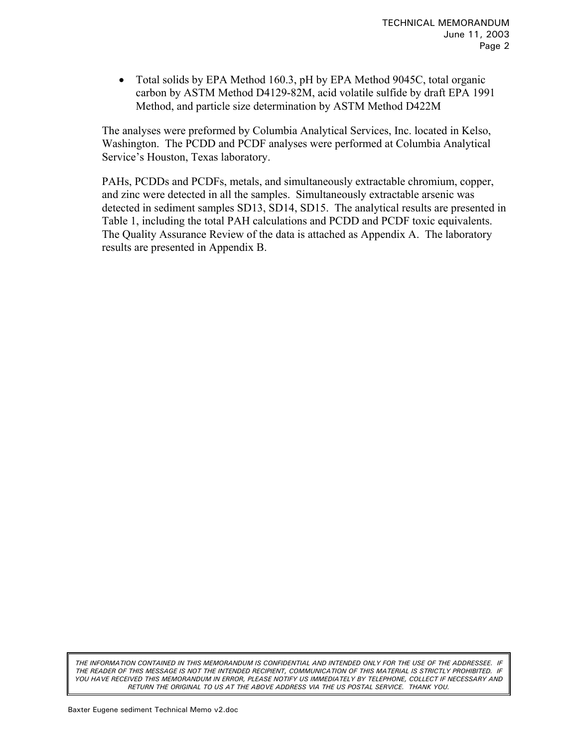• Total solids by EPA Method 160.3, pH by EPA Method 9045C, total organic carbon by ASTM Method D4129-82M, acid volatile sulfide by draft EPA 1991 Method, and particle size determination by ASTM Method D422M

The analyses were preformed by Columbia Analytical Services, Inc. located in Kelso, Washington. The PCDD and PCDF analyses were performed at Columbia Analytical Service's Houston, Texas laboratory.

PAHs, PCDDs and PCDFs, metals, and simultaneously extractable chromium, copper, and zinc were detected in all the samples. Simultaneously extractable arsenic was detected in sediment samples SD13, SD14, SD15. The analytical results are presented in Table 1, including the total PAH calculations and PCDD and PCDF toxic equivalents. The Quality Assurance Review of the data is attached as Appendix A. The laboratory results are presented in Appendix B.

*THE INFORMATION CONTAINED IN THIS MEMORANDUM IS CONFIDENTIAL AND INTENDED ONLY FOR THE USE OF THE ADDRESSEE. IF THE READER OF THIS MESSAGE IS NOT THE INTENDED RECIPIENT, COMMUNICATION OF THIS MATERIAL IS STRICTLY PROHIBITED. IF YOU HAVE RECEIVED THIS MEMORANDUM IN ERROR, PLEASE NOTIFY US IMMEDIATELY BY TELEPHONE, COLLECT IF NECESSARY AND RETURN THE ORIGINAL TO US AT THE ABOVE ADDRESS VIA THE US POSTAL SERVICE. THANK YOU.*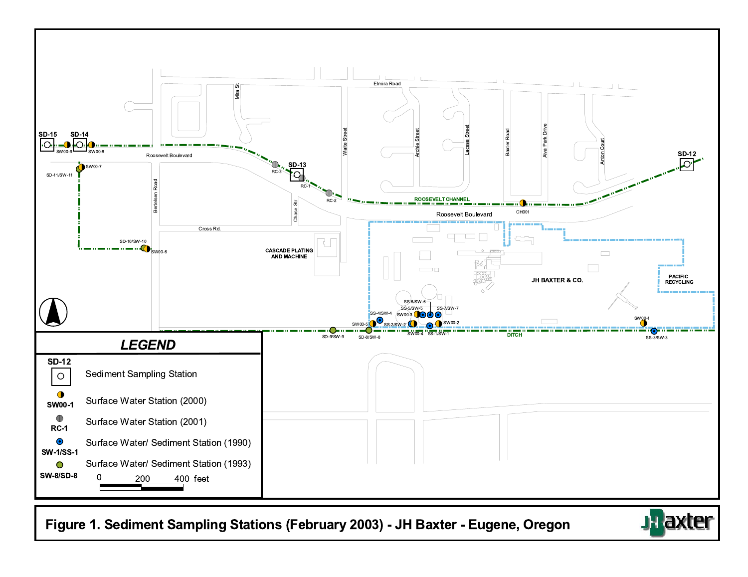

Figure 1. Sediment Sampling Stations (February 2003) - JH Baxter - Eugene, Oregon

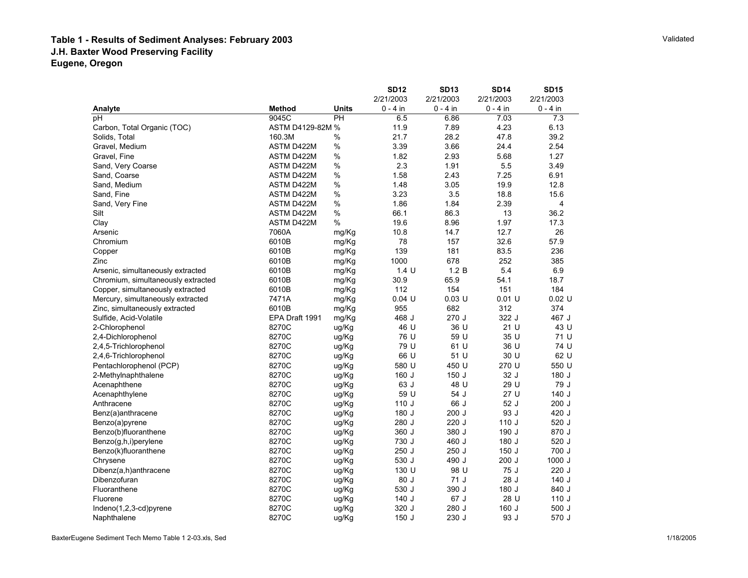#### **Table 1 - Results of Sediment Analyses: February 2003 J.H. Baxter Wood Preserving Facility Eugene, Oregon**

|                                    |                   |              | <b>SD12</b> | <b>SD13</b> | <b>SD14</b> | <b>SD15</b> |
|------------------------------------|-------------------|--------------|-------------|-------------|-------------|-------------|
|                                    |                   |              | 2/21/2003   | 2/21/2003   | 2/21/2003   | 2/21/2003   |
| Analyte                            | <b>Method</b>     | <b>Units</b> | $0 - 4$ in  | $0 - 4$ in  | $0 - 4$ in  | $0 - 4$ in  |
| рH                                 | 9045C             | PH           | 6.5         | 6.86        | 7.03        | 7.3         |
| Carbon, Total Organic (TOC)        | ASTM D4129-82M %  |              | 11.9        | 7.89        | 4.23        | 6.13        |
| Solids, Total                      | 160.3M            | $\%$         | 21.7        | 28.2        | 47.8        | 39.2        |
| Gravel, Medium                     | ASTM D422M        | $\%$         | 3.39        | 3.66        | 24.4        | 2.54        |
| Gravel, Fine                       | ASTM D422M        | $\%$         | 1.82        | 2.93        | 5.68        | 1.27        |
| Sand, Very Coarse                  | ASTM D422M        | $\%$         | 2.3         | 1.91        | 5.5         | 3.49        |
| Sand, Coarse                       | ASTM D422M        | %            | 1.58        | 2.43        | 7.25        | 6.91        |
| Sand, Medium                       | ASTM D422M        | %            | 1.48        | 3.05        | 19.9        | 12.8        |
| Sand, Fine                         | ASTM D422M        | %            | 3.23        | 3.5         | 18.8        | 15.6        |
| Sand, Very Fine                    | ASTM D422M        | %            | 1.86        | 1.84        | 2.39        | 4           |
| Silt                               | <b>ASTM D422M</b> | $\%$         | 66.1        | 86.3        | 13          | 36.2        |
| Clay                               | ASTM D422M        | $\%$         | 19.6        | 8.96        | 1.97        | 17.3        |
| Arsenic                            | 7060A             | mg/Kg        | 10.8        | 14.7        | 12.7        | 26          |
| Chromium                           | 6010B             | mg/Kg        | 78          | 157         | 32.6        | 57.9        |
| Copper                             | 6010B             | mg/Kg        | 139         | 181         | 83.5        | 236         |
| Zinc                               | 6010B             | mg/Kg        | 1000        | 678         | 252         | 385         |
| Arsenic, simultaneously extracted  | 6010B             | mg/Kg        | 1.4 U       | 1.2 B       | 5.4         | 6.9         |
| Chromium, simultaneously extracted | 6010B             | mg/Kg        | 30.9        | 65.9        | 54.1        | 18.7        |
| Copper, simultaneously extracted   | 6010B             | mg/Kg        | 112         | 154         | 151         | 184         |
| Mercury, simultaneously extracted  | 7471A             | mg/Kg        | $0.04$ U    | $0.03$ U    | $0.01$ U    | $0.02$ U    |
| Zinc, simultaneously extracted     | 6010B             | mg/Kg        | 955         | 682         | 312         | 374         |
| Sulfide, Acid-Volatile             | EPA Draft 1991    | mg/Kg        | 468 J       | 270 J       | 322 J       | 467 J       |
| 2-Chlorophenol                     | 8270C             | ug/Kg        | 46 U        | 36 U        | 21 U        | 43 U        |
| 2,4-Dichlorophenol                 | 8270C             | ug/Kg        | 76 U        | 59 U        | 35 U        | 71 U        |
| 2,4,5-Trichlorophenol              | 8270C             | ug/Kg        | 79 U        | 61 U        | 36 U        | 74 U        |
| 2,4,6-Trichlorophenol              | 8270C             | ug/Kg        | 66 U        | 51 U        | 30 U        | 62 U        |
| Pentachlorophenol (PCP)            | 8270C             | ug/Kg        | 580 U       | 450 U       | 270 U       | 550 U       |
| 2-Methylnaphthalene                | 8270C             | ug/Kg        | 160 J       | 150 J       | 32 J        | 180 J       |
| Acenaphthene                       | 8270C             | ug/Kg        | 63 J        | 48 U        | 29 U        | 79 J        |
| Acenaphthylene                     | 8270C             | ug/Kg        | 59 U        | 54 J        | 27 U        | 140J        |
| Anthracene                         | 8270C             | ug/Kg        | 110J        | 66 J        | 52 J        | $200$ J     |
| Benz(a)anthracene                  | 8270C             | ug/Kg        | 180 J       | 200 J       | 93 J        | 420 J       |
| Benzo(a)pyrene                     | 8270C             | ug/Kg        | 280 J       | 220 J       | 110J        | 520 J       |
| Benzo(b)fluoranthene               | 8270C             | ug/Kg        | 360 J       | 380 J       | 190 J       | 870 J       |
| Benzo(g,h,i)perylene               | 8270C             | ug/Kg        | 730 J       | 460 J       | 180 J       | 520 J       |
| Benzo(k)fluoranthene               | 8270C             | ug/Kg        | 250 J       | 250 J       | 150J        | 700 J       |
| Chrysene                           | 8270C             | ug/Kg        | 530 J       | 490 J       | 200J        | 1000 J      |
| Dibenz(a,h)anthracene              | 8270C             | ug/Kg        | 130 U       | 98 U        | 75 J        | 220 J       |
| Dibenzofuran                       | 8270C             | ug/Kg        | 80 J        | 71 J        | 28 J        | 140 J       |
| Fluoranthene                       | 8270C             | ug/Kg        | 530 J       | 390 J       | 180 J       | 840 J       |
| Fluorene                           | 8270C             | ug/Kg        | 140 J       | 67 J        | 28 U        | 110J        |
| $Indeno(1,2,3-cd)pyrene$           | 8270C             | ug/Kg        | 320 J       | 280 J       | 160 J       | 500 J       |
| Naphthalene                        | 8270C             | ug/Kg        | 150J        | 230 J       | 93 J        | 570 J       |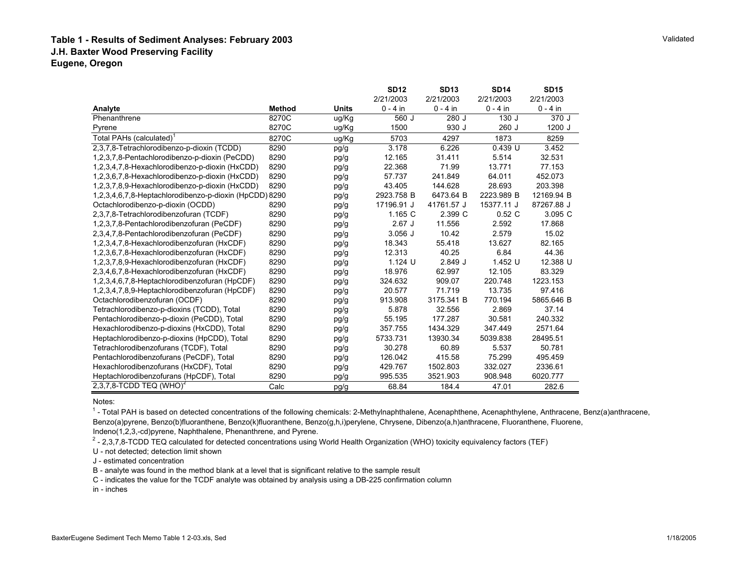#### **Table 1 - Results of Sediment Analyses: February 2003 J.H. Baxter Wood Preserving Facility Eugene, Oregon**

|                                                        |               |              | <b>SD12</b> | <b>SD13</b> | <b>SD14</b> | <b>SD15</b> |
|--------------------------------------------------------|---------------|--------------|-------------|-------------|-------------|-------------|
|                                                        |               |              | 2/21/2003   | 2/21/2003   | 2/21/2003   | 2/21/2003   |
| Analyte                                                | <b>Method</b> | <b>Units</b> | $0 - 4$ in  | $0 - 4$ in  | $0 - 4$ in  | $0 - 4$ in  |
| Phenanthrene                                           | 8270C         | ug/Kg        | 560 J       | 280 J       | 130J        | 370 J       |
| Pyrene                                                 | 8270C         | ug/Kg        | 1500        | 930 J       | $260$ J     | 1200 J      |
| Total PAHs (calculated) <sup>1</sup>                   | 8270C         | ug/Kg        | 5703        | 4297        | 1873        | 8259        |
| 2,3,7,8-Tetrachlorodibenzo-p-dioxin (TCDD)             | 8290          | pg/g         | 3.178       | 6.226       | $0.439$ U   | 3.452       |
| 1,2,3,7,8-Pentachlorodibenzo-p-dioxin (PeCDD)          | 8290          | pg/g         | 12.165      | 31.411      | 5.514       | 32.531      |
| 1,2,3,4,7,8-Hexachlorodibenzo-p-dioxin (HxCDD)         | 8290          | pg/g         | 22.368      | 71.99       | 13.771      | 77.153      |
| 1,2,3,6,7,8-Hexachlorodibenzo-p-dioxin (HxCDD)         | 8290          | pg/g         | 57.737      | 241.849     | 64.011      | 452.073     |
| 1,2,3,7,8,9-Hexachlorodibenzo-p-dioxin (HxCDD)         | 8290          | pg/g         | 43.405      | 144.628     | 28.693      | 203.398     |
| 1,2,3,4,6,7,8-Heptachlorodibenzo-p-dioxin (HpCDD) 8290 |               | pg/g         | 2923.758 B  | 6473.64 B   | 2223.989 B  | 12169.94 B  |
| Octachlorodibenzo-p-dioxin (OCDD)                      | 8290          | pg/g         | 17196.91 J  | 41761.57 J  | 15377.11 J  | 87267.88 J  |
| 2,3,7,8-Tetrachlorodibenzofuran (TCDF)                 | 8290          | pg/g         | 1.165 C     | 2.399 C     | 0.52C       | 3.095 C     |
| 1,2,3,7,8-Pentachlorodibenzofuran (PeCDF)              | 8290          | pg/g         | $2.67$ J    | 11.556      | 2.592       | 17.868      |
| 2,3,4,7,8-Pentachlorodibenzofuran (PeCDF)              | 8290          | pg/g         | $3.056$ J   | 10.42       | 2.579       | 15.02       |
| 1,2,3,4,7,8-Hexachlorodibenzofuran (HxCDF)             | 8290          | pg/g         | 18.343      | 55.418      | 13.627      | 82.165      |
| 1,2,3,6,7,8-Hexachlorodibenzofuran (HxCDF)             | 8290          | pg/g         | 12.313      | 40.25       | 6.84        | 44.36       |
| 1,2,3,7,8,9-Hexachlorodibenzofuran (HxCDF)             | 8290          | pg/g         | 1.124 U     | 2.849J      | 1.452 U     | 12.388 U    |
| 2,3,4,6,7,8-Hexachlorodibenzofuran (HxCDF)             | 8290          | pg/g         | 18.976      | 62.997      | 12.105      | 83.329      |
| 1,2,3,4,6,7,8-Heptachlorodibenzofuran (HpCDF)          | 8290          | pg/g         | 324.632     | 909.07      | 220.748     | 1223.153    |
| 1,2,3,4,7,8,9-Heptachlorodibenzofuran (HpCDF)          | 8290          | pg/g         | 20.577      | 71.719      | 13.735      | 97.416      |
| Octachlorodibenzofuran (OCDF)                          | 8290          | pg/g         | 913.908     | 3175.341 B  | 770.194     | 5865.646 B  |
| Tetrachlorodibenzo-p-dioxins (TCDD), Total             | 8290          | pg/g         | 5.878       | 32.556      | 2.869       | 37.14       |
| Pentachlorodibenzo-p-dioxin (PeCDD), Total             | 8290          | pg/g         | 55.195      | 177.287     | 30.581      | 240.332     |
| Hexachlorodibenzo-p-dioxins (HxCDD), Total             | 8290          | pg/g         | 357.755     | 1434.329    | 347.449     | 2571.64     |
| Heptachlorodibenzo-p-dioxins (HpCDD), Total            | 8290          | pg/g         | 5733.731    | 13930.34    | 5039.838    | 28495.51    |
| Tetrachlorodibenzofurans (TCDF), Total                 | 8290          | pg/g         | 30.278      | 60.89       | 5.537       | 50.781      |
| Pentachlorodibenzofurans (PeCDF), Total                | 8290          | pg/g         | 126.042     | 415.58      | 75.299      | 495.459     |
| Hexachlorodibenzofurans (HxCDF), Total                 | 8290          | pg/g         | 429.767     | 1502.803    | 332.027     | 2336.61     |
| Heptachlorodibenzofurans (HpCDF), Total                | 8290          | pg/g         | 995.535     | 3521.903    | 908.948     | 6020.777    |
| 2,3,7,8-TCDD TEQ (WHO) <sup>2</sup>                    | Calc          | pg/g         | 68.84       | 184.4       | 47.01       | 282.6       |

<sup>1</sup> - Total PAH is based on detected concentrations of the following chemicals: 2-Methylnaphthalene, Acenaphthene, Acenaphthylene, Anthracene, Benz(a)anthracene, Benzo(a)pyrene, Benzo(b)fluoranthene, Benzo(k)fluoranthene, Benzo(g,h,i)perylene, Chrysene, Dibenzo(a,h)anthracene, Fluoranthene, Fluorene, Indeno(1,2,3,-cd)pyrene, Naphthalene, Phenanthrene, and Pyrene.

<sup>2</sup> - 2,3,7,8-TCDD TEQ calculated for detected concentrations using World Health Organization (WHO) toxicity equivalency factors (TEF)

U - not detected; detection limit shown

J - estimated concentration

B - analyte was found in the method blank at a level that is significant relative to the sample result

C - indicates the value for the TCDF analyte was obtained by analysis using a DB-225 confirmation column

in - inches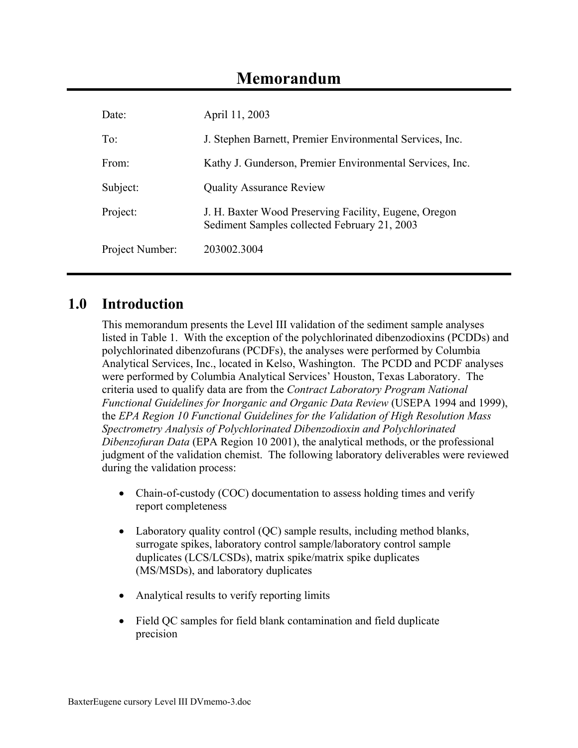# **Memorandum**

| Date:           | April 11, 2003                                                                                        |
|-----------------|-------------------------------------------------------------------------------------------------------|
| $To^{\cdot}$    | J. Stephen Barnett, Premier Environmental Services, Inc.                                              |
| From:           | Kathy J. Gunderson, Premier Environmental Services, Inc.                                              |
| Subject:        | <b>Quality Assurance Review</b>                                                                       |
| Project:        | J. H. Baxter Wood Preserving Facility, Eugene, Oregon<br>Sediment Samples collected February 21, 2003 |
| Project Number: | 203002 3004                                                                                           |

# **1.0 Introduction**

This memorandum presents the Level III validation of the sediment sample analyses listed in Table 1. With the exception of the polychlorinated dibenzodioxins (PCDDs) and polychlorinated dibenzofurans (PCDFs), the analyses were performed by Columbia Analytical Services, Inc., located in Kelso, Washington. The PCDD and PCDF analyses were performed by Columbia Analytical Services' Houston, Texas Laboratory. The criteria used to qualify data are from the *Contract Laboratory Program National Functional Guidelines for Inorganic and Organic Data Review* (USEPA 1994 and 1999), the *EPA Region 10 Functional Guidelines for the Validation of High Resolution Mass Spectrometry Analysis of Polychlorinated Dibenzodioxin and Polychlorinated Dibenzofuran Data* (EPA Region 10 2001), the analytical methods, or the professional judgment of the validation chemist. The following laboratory deliverables were reviewed during the validation process:

- Chain-of-custody (COC) documentation to assess holding times and verify report completeness
- Laboratory quality control (OC) sample results, including method blanks, surrogate spikes, laboratory control sample/laboratory control sample duplicates (LCS/LCSDs), matrix spike/matrix spike duplicates (MS/MSDs), and laboratory duplicates
- Analytical results to verify reporting limits
- Field QC samples for field blank contamination and field duplicate precision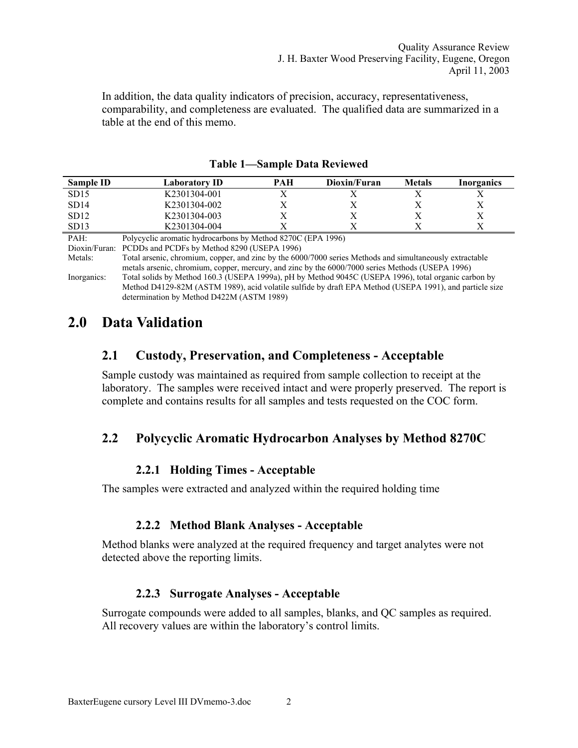In addition, the data quality indicators of precision, accuracy, representativeness, comparability, and completeness are evaluated. The qualified data are summarized in a table at the end of this memo.

| Sample ID | Laboratory ID                                               | PAH | Dioxin/Furan | <b>Metals</b> | Inorganics |
|-----------|-------------------------------------------------------------|-----|--------------|---------------|------------|
| SD15      | K2301304-001                                                |     |              |               |            |
| SD14      | K2301304-002                                                |     |              |               |            |
| SD12      | K2301304-003                                                |     |              |               |            |
| SD13      | K2301304-004                                                |     |              |               |            |
| DA LI-    | Dolvevelie aromatic hydrogerbons by Mathod 8270C (EDA 1006) |     |              |               |            |

|  |  |  |  | <b>Table 1—Sample Data Reviewed</b> |
|--|--|--|--|-------------------------------------|
|--|--|--|--|-------------------------------------|

evelic aromatic hydrocarbons by Method 8270C (EPA 1996)

Dioxin/Furan: PCDDs and PCDFs by Method 8290 (USEPA 1996)

Metals: Total arsenic, chromium, copper, and zinc by the 6000/7000 series Methods and simultaneously extractable metals arsenic, chromium, copper, mercury, and zinc by the 6000/7000 series Methods (USEPA 1996) Inorganics: Total solids by Method 160.3 (USEPA 1999a), pH by Method 9045C (USEPA 1996), total organic carbon by Method D4129-82M (ASTM 1989), acid volatile sulfide by draft EPA Method (USEPA 1991), and particle size determination by Method D422M (ASTM 1989)

# **2.0 Data Validation**

## **2.1 Custody, Preservation, and Completeness - Acceptable**

Sample custody was maintained as required from sample collection to receipt at the laboratory. The samples were received intact and were properly preserved. The report is complete and contains results for all samples and tests requested on the COC form.

# **2.2 Polycyclic Aromatic Hydrocarbon Analyses by Method 8270C**

#### **2.2.1 Holding Times - Acceptable**

The samples were extracted and analyzed within the required holding time

#### **2.2.2 Method Blank Analyses - Acceptable**

Method blanks were analyzed at the required frequency and target analytes were not detected above the reporting limits.

#### **2.2.3 Surrogate Analyses - Acceptable**

Surrogate compounds were added to all samples, blanks, and QC samples as required. All recovery values are within the laboratory's control limits.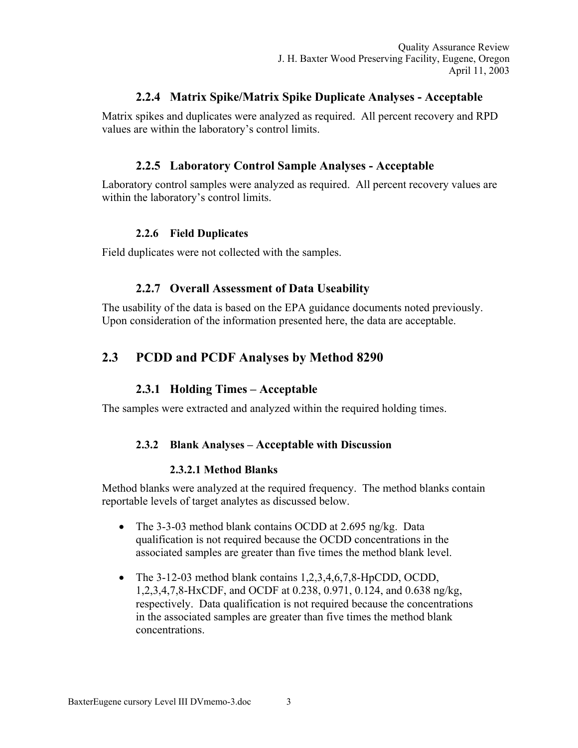#### **2.2.4 Matrix Spike/Matrix Spike Duplicate Analyses - Acceptable**

Matrix spikes and duplicates were analyzed as required. All percent recovery and RPD values are within the laboratory's control limits.

#### **2.2.5 Laboratory Control Sample Analyses - Acceptable**

Laboratory control samples were analyzed as required. All percent recovery values are within the laboratory's control limits.

#### **2.2.6 Field Duplicates**

Field duplicates were not collected with the samples.

#### **2.2.7 Overall Assessment of Data Useability**

The usability of the data is based on the EPA guidance documents noted previously. Upon consideration of the information presented here, the data are acceptable.

# **2.3 PCDD and PCDF Analyses by Method 8290**

#### **2.3.1 Holding Times – Acceptable**

The samples were extracted and analyzed within the required holding times.

#### **2.3.2 Blank Analyses – Acceptable with Discussion**

#### **2.3.2.1 Method Blanks**

Method blanks were analyzed at the required frequency. The method blanks contain reportable levels of target analytes as discussed below.

- The 3-3-03 method blank contains OCDD at 2.695 ng/kg. Data qualification is not required because the OCDD concentrations in the associated samples are greater than five times the method blank level.
- The 3-12-03 method blank contains 1,2,3,4,6,7,8-HpCDD, OCDD, 1,2,3,4,7,8-HxCDF, and OCDF at 0.238, 0.971, 0.124, and 0.638 ng/kg, respectively. Data qualification is not required because the concentrations in the associated samples are greater than five times the method blank concentrations.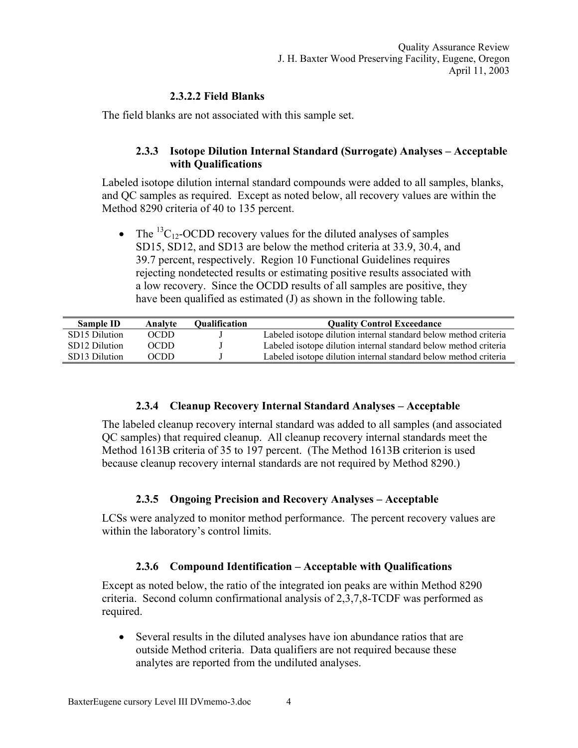#### **2.3.2.2 Field Blanks**

The field blanks are not associated with this sample set.

#### **2.3.3 Isotope Dilution Internal Standard (Surrogate) Analyses – Acceptable with Qualifications**

Labeled isotope dilution internal standard compounds were added to all samples, blanks, and QC samples as required. Except as noted below, all recovery values are within the Method 8290 criteria of 40 to 135 percent.

• The  ${}^{13}C_{12}$ -OCDD recovery values for the diluted analyses of samples SD15, SD12, and SD13 are below the method criteria at 33.9, 30.4, and 39.7 percent, respectively. Region 10 Functional Guidelines requires rejecting nondetected results or estimating positive results associated with a low recovery. Since the OCDD results of all samples are positive, they have been qualified as estimated (J) as shown in the following table.

| <b>Sample ID</b> | Analyte | Oualification | <b>Ouality Control Exceedance</b>                                |
|------------------|---------|---------------|------------------------------------------------------------------|
| SD15 Dilution    | OCDD    |               | Labeled isotope dilution internal standard below method criteria |
| SD12 Dilution    | OCDD    |               | Labeled isotope dilution internal standard below method criteria |
| SD13 Dilution    | OCDD    |               | Labeled isotope dilution internal standard below method criteria |

#### **2.3.4 Cleanup Recovery Internal Standard Analyses – Acceptable**

The labeled cleanup recovery internal standard was added to all samples (and associated QC samples) that required cleanup. All cleanup recovery internal standards meet the Method 1613B criteria of 35 to 197 percent. (The Method 1613B criterion is used because cleanup recovery internal standards are not required by Method 8290.)

#### **2.3.5 Ongoing Precision and Recovery Analyses – Acceptable**

LCSs were analyzed to monitor method performance. The percent recovery values are within the laboratory's control limits.

#### **2.3.6 Compound Identification – Acceptable with Qualifications**

Except as noted below, the ratio of the integrated ion peaks are within Method 8290 criteria. Second column confirmational analysis of 2,3,7,8-TCDF was performed as required.

• Several results in the diluted analyses have ion abundance ratios that are outside Method criteria. Data qualifiers are not required because these analytes are reported from the undiluted analyses.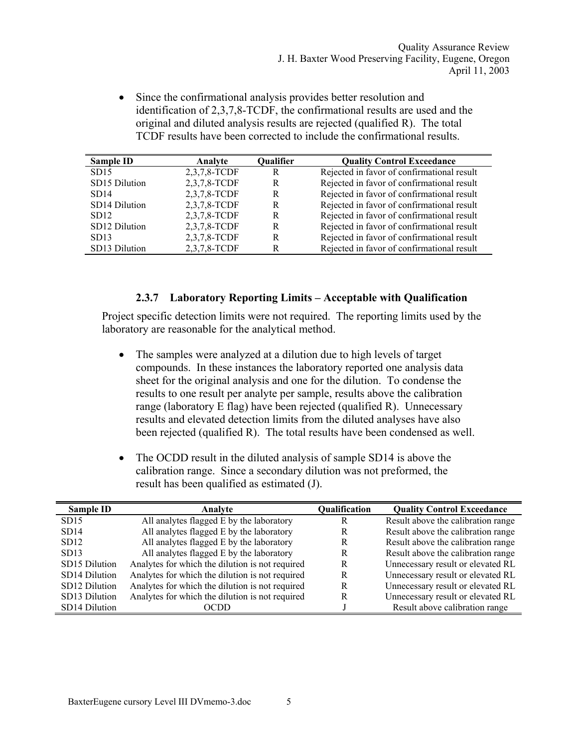• Since the confirmational analysis provides better resolution and identification of 2,3,7,8-TCDF, the confirmational results are used and the original and diluted analysis results are rejected (qualified R). The total TCDF results have been corrected to include the confirmational results.

| Sample ID     | Analyte      | Qualifier | <b>Quality Control Exceedance</b>          |
|---------------|--------------|-----------|--------------------------------------------|
| SD15          | 2,3,7,8-TCDF | R         | Rejected in favor of confirmational result |
| SD15 Dilution | 2,3,7,8-TCDF | R         | Rejected in favor of confirmational result |
| SD14          | 2,3,7,8-TCDF | R         | Rejected in favor of confirmational result |
| SD14 Dilution | 2,3,7,8-TCDF | R         | Rejected in favor of confirmational result |
| SD12          | 2,3,7,8-TCDF | R         | Rejected in favor of confirmational result |
| SD12 Dilution | 2,3,7,8-TCDF | R         | Rejected in favor of confirmational result |
| SD13          | 2,3,7,8-TCDF | R         | Rejected in favor of confirmational result |
| SD13 Dilution | 2,3,7,8-TCDF | R         | Rejected in favor of confirmational result |

#### **2.3.7 Laboratory Reporting Limits – Acceptable with Qualification**

Project specific detection limits were not required. The reporting limits used by the laboratory are reasonable for the analytical method.

- The samples were analyzed at a dilution due to high levels of target compounds. In these instances the laboratory reported one analysis data sheet for the original analysis and one for the dilution. To condense the results to one result per analyte per sample, results above the calibration range (laboratory E flag) have been rejected (qualified R). Unnecessary results and elevated detection limits from the diluted analyses have also been rejected (qualified R). The total results have been condensed as well.
- The OCDD result in the diluted analysis of sample SD14 is above the calibration range. Since a secondary dilution was not preformed, the result has been qualified as estimated (J).

| Sample ID     | Analvte                                         | Qualification | <b>Quality Control Exceedance</b>  |
|---------------|-------------------------------------------------|---------------|------------------------------------|
| SD15          | All analytes flagged E by the laboratory        | R             | Result above the calibration range |
| SD14          | All analytes flagged E by the laboratory        | R             | Result above the calibration range |
| SD12          | All analytes flagged E by the laboratory        | R             | Result above the calibration range |
| SD13          | All analytes flagged E by the laboratory        | R             | Result above the calibration range |
| SD15 Dilution | Analytes for which the dilution is not required | R             | Unnecessary result or elevated RL  |
| SD14 Dilution | Analytes for which the dilution is not required | R             | Unnecessary result or elevated RL  |
| SD12 Dilution | Analytes for which the dilution is not required | R             | Unnecessary result or elevated RL  |
| SD13 Dilution | Analytes for which the dilution is not required | R             | Unnecessary result or elevated RL  |
| SD14 Dilution | OCDD                                            |               | Result above calibration range     |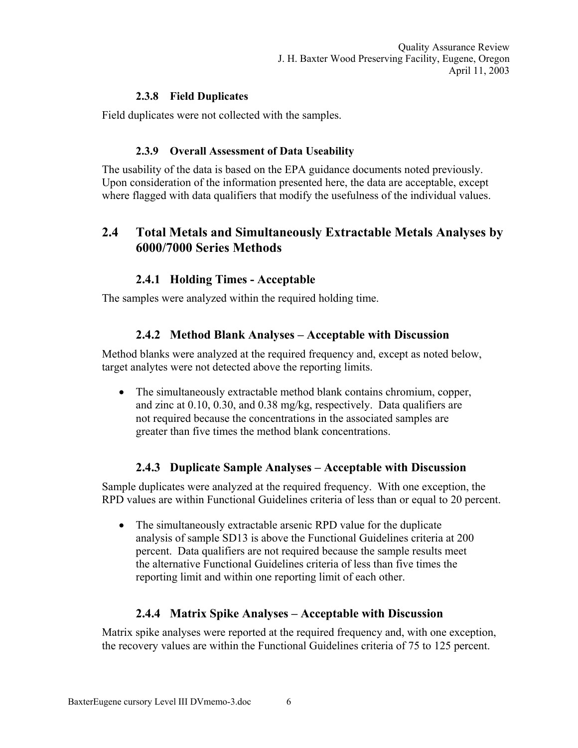Quality Assurance Review J. H. Baxter Wood Preserving Facility, Eugene, Oregon April 11, 2003

#### **2.3.8 Field Duplicates**

Field duplicates were not collected with the samples.

#### **2.3.9 Overall Assessment of Data Useability**

The usability of the data is based on the EPA guidance documents noted previously. Upon consideration of the information presented here, the data are acceptable, except where flagged with data qualifiers that modify the usefulness of the individual values.

## **2.4 Total Metals and Simultaneously Extractable Metals Analyses by 6000/7000 Series Methods**

## **2.4.1 Holding Times - Acceptable**

The samples were analyzed within the required holding time.

#### **2.4.2 Method Blank Analyses – Acceptable with Discussion**

Method blanks were analyzed at the required frequency and, except as noted below, target analytes were not detected above the reporting limits.

• The simultaneously extractable method blank contains chromium, copper, and zinc at 0.10, 0.30, and 0.38 mg/kg, respectively. Data qualifiers are not required because the concentrations in the associated samples are greater than five times the method blank concentrations.

#### **2.4.3 Duplicate Sample Analyses – Acceptable with Discussion**

Sample duplicates were analyzed at the required frequency. With one exception, the RPD values are within Functional Guidelines criteria of less than or equal to 20 percent.

• The simultaneously extractable arsenic RPD value for the duplicate analysis of sample SD13 is above the Functional Guidelines criteria at 200 percent. Data qualifiers are not required because the sample results meet the alternative Functional Guidelines criteria of less than five times the reporting limit and within one reporting limit of each other.

#### **2.4.4 Matrix Spike Analyses – Acceptable with Discussion**

Matrix spike analyses were reported at the required frequency and, with one exception, the recovery values are within the Functional Guidelines criteria of 75 to 125 percent.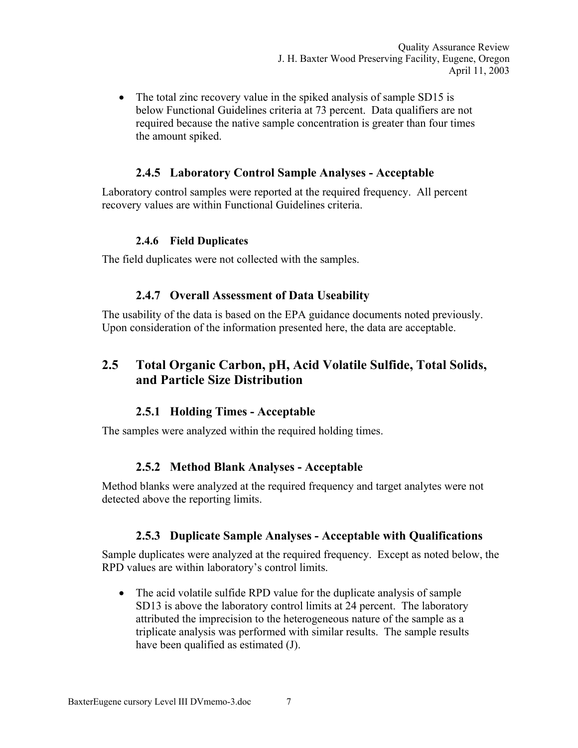• The total zinc recovery value in the spiked analysis of sample SD15 is below Functional Guidelines criteria at 73 percent. Data qualifiers are not required because the native sample concentration is greater than four times the amount spiked.

#### **2.4.5 Laboratory Control Sample Analyses - Acceptable**

Laboratory control samples were reported at the required frequency. All percent recovery values are within Functional Guidelines criteria.

#### **2.4.6 Field Duplicates**

The field duplicates were not collected with the samples.

#### **2.4.7 Overall Assessment of Data Useability**

The usability of the data is based on the EPA guidance documents noted previously. Upon consideration of the information presented here, the data are acceptable.

## **2.5 Total Organic Carbon, pH, Acid Volatile Sulfide, Total Solids, and Particle Size Distribution**

#### **2.5.1 Holding Times - Acceptable**

The samples were analyzed within the required holding times.

#### **2.5.2 Method Blank Analyses - Acceptable**

Method blanks were analyzed at the required frequency and target analytes were not detected above the reporting limits.

#### **2.5.3 Duplicate Sample Analyses - Acceptable with Qualifications**

Sample duplicates were analyzed at the required frequency. Except as noted below, the RPD values are within laboratory's control limits.

• The acid volatile sulfide RPD value for the duplicate analysis of sample SD13 is above the laboratory control limits at 24 percent. The laboratory attributed the imprecision to the heterogeneous nature of the sample as a triplicate analysis was performed with similar results. The sample results have been qualified as estimated (J).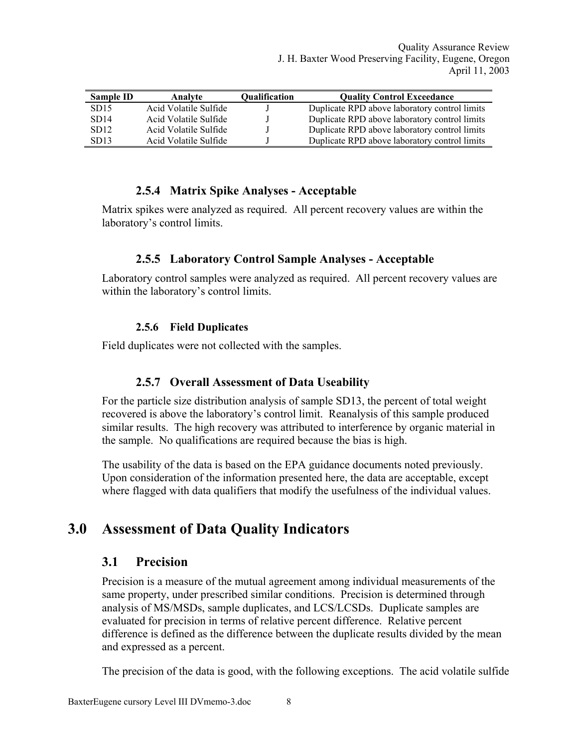| Sample ID        | Analyte               | <b>Oualification</b> | <b>Quality Control Exceedance</b>             |
|------------------|-----------------------|----------------------|-----------------------------------------------|
| SD <sub>15</sub> | Acid Volatile Sulfide |                      | Duplicate RPD above laboratory control limits |
| SD14             | Acid Volatile Sulfide |                      | Duplicate RPD above laboratory control limits |
| SD <sub>12</sub> | Acid Volatile Sulfide |                      | Duplicate RPD above laboratory control limits |
| SD <sub>13</sub> | Acid Volatile Sulfide |                      | Duplicate RPD above laboratory control limits |

#### **2.5.4 Matrix Spike Analyses - Acceptable**

Matrix spikes were analyzed as required. All percent recovery values are within the laboratory's control limits.

#### **2.5.5 Laboratory Control Sample Analyses - Acceptable**

Laboratory control samples were analyzed as required. All percent recovery values are within the laboratory's control limits.

#### **2.5.6 Field Duplicates**

Field duplicates were not collected with the samples.

#### **2.5.7 Overall Assessment of Data Useability**

For the particle size distribution analysis of sample SD13, the percent of total weight recovered is above the laboratory's control limit. Reanalysis of this sample produced similar results. The high recovery was attributed to interference by organic material in the sample. No qualifications are required because the bias is high.

The usability of the data is based on the EPA guidance documents noted previously. Upon consideration of the information presented here, the data are acceptable, except where flagged with data qualifiers that modify the usefulness of the individual values.

# **3.0 Assessment of Data Quality Indicators**

#### **3.1 Precision**

Precision is a measure of the mutual agreement among individual measurements of the same property, under prescribed similar conditions. Precision is determined through analysis of MS/MSDs, sample duplicates, and LCS/LCSDs. Duplicate samples are evaluated for precision in terms of relative percent difference. Relative percent difference is defined as the difference between the duplicate results divided by the mean and expressed as a percent.

The precision of the data is good, with the following exceptions. The acid volatile sulfide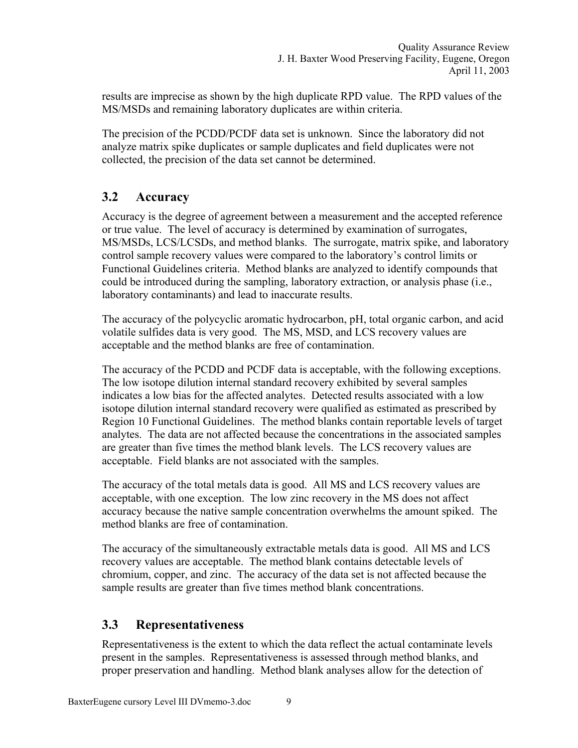results are imprecise as shown by the high duplicate RPD value. The RPD values of the MS/MSDs and remaining laboratory duplicates are within criteria.

The precision of the PCDD/PCDF data set is unknown. Since the laboratory did not analyze matrix spike duplicates or sample duplicates and field duplicates were not collected, the precision of the data set cannot be determined.

# **3.2 Accuracy**

Accuracy is the degree of agreement between a measurement and the accepted reference or true value. The level of accuracy is determined by examination of surrogates, MS/MSDs, LCS/LCSDs, and method blanks. The surrogate, matrix spike, and laboratory control sample recovery values were compared to the laboratory's control limits or Functional Guidelines criteria. Method blanks are analyzed to identify compounds that could be introduced during the sampling, laboratory extraction, or analysis phase (i.e., laboratory contaminants) and lead to inaccurate results.

The accuracy of the polycyclic aromatic hydrocarbon, pH, total organic carbon, and acid volatile sulfides data is very good. The MS, MSD, and LCS recovery values are acceptable and the method blanks are free of contamination.

The accuracy of the PCDD and PCDF data is acceptable, with the following exceptions. The low isotope dilution internal standard recovery exhibited by several samples indicates a low bias for the affected analytes. Detected results associated with a low isotope dilution internal standard recovery were qualified as estimated as prescribed by Region 10 Functional Guidelines. The method blanks contain reportable levels of target analytes. The data are not affected because the concentrations in the associated samples are greater than five times the method blank levels. The LCS recovery values are acceptable. Field blanks are not associated with the samples.

The accuracy of the total metals data is good. All MS and LCS recovery values are acceptable, with one exception. The low zinc recovery in the MS does not affect accuracy because the native sample concentration overwhelms the amount spiked. The method blanks are free of contamination.

The accuracy of the simultaneously extractable metals data is good. All MS and LCS recovery values are acceptable. The method blank contains detectable levels of chromium, copper, and zinc. The accuracy of the data set is not affected because the sample results are greater than five times method blank concentrations.

## **3.3 Representativeness**

Representativeness is the extent to which the data reflect the actual contaminate levels present in the samples. Representativeness is assessed through method blanks, and proper preservation and handling. Method blank analyses allow for the detection of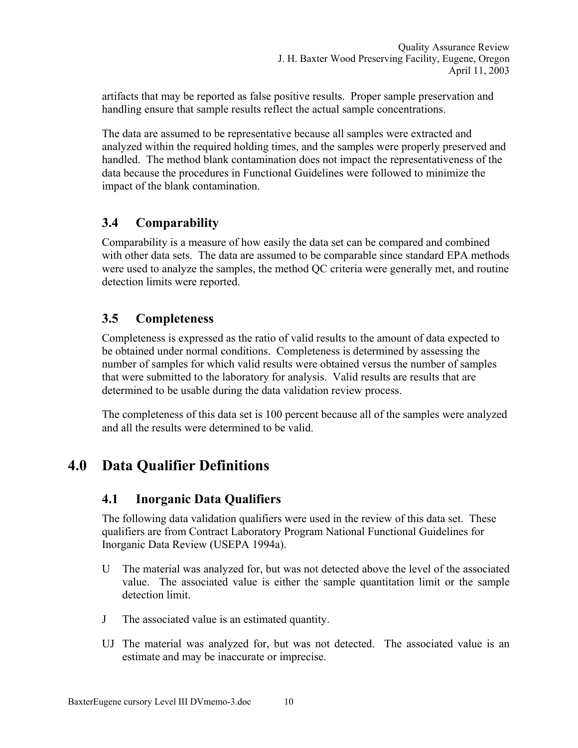artifacts that may be reported as false positive results. Proper sample preservation and handling ensure that sample results reflect the actual sample concentrations.

The data are assumed to be representative because all samples were extracted and analyzed within the required holding times, and the samples were properly preserved and handled. The method blank contamination does not impact the representativeness of the data because the procedures in Functional Guidelines were followed to minimize the impact of the blank contamination.

# **3.4 Comparability**

Comparability is a measure of how easily the data set can be compared and combined with other data sets. The data are assumed to be comparable since standard EPA methods were used to analyze the samples, the method QC criteria were generally met, and routine detection limits were reported.

# **3.5 Completeness**

Completeness is expressed as the ratio of valid results to the amount of data expected to be obtained under normal conditions. Completeness is determined by assessing the number of samples for which valid results were obtained versus the number of samples that were submitted to the laboratory for analysis. Valid results are results that are determined to be usable during the data validation review process.

The completeness of this data set is 100 percent because all of the samples were analyzed and all the results were determined to be valid.

# **4.0 Data Qualifier Definitions**

## **4.1 Inorganic Data Qualifiers**

The following data validation qualifiers were used in the review of this data set. These qualifiers are from Contract Laboratory Program National Functional Guidelines for Inorganic Data Review (USEPA 1994a).

- U The material was analyzed for, but was not detected above the level of the associated value. The associated value is either the sample quantitation limit or the sample detection limit.
- J The associated value is an estimated quantity.
- UJ The material was analyzed for, but was not detected. The associated value is an estimate and may be inaccurate or imprecise.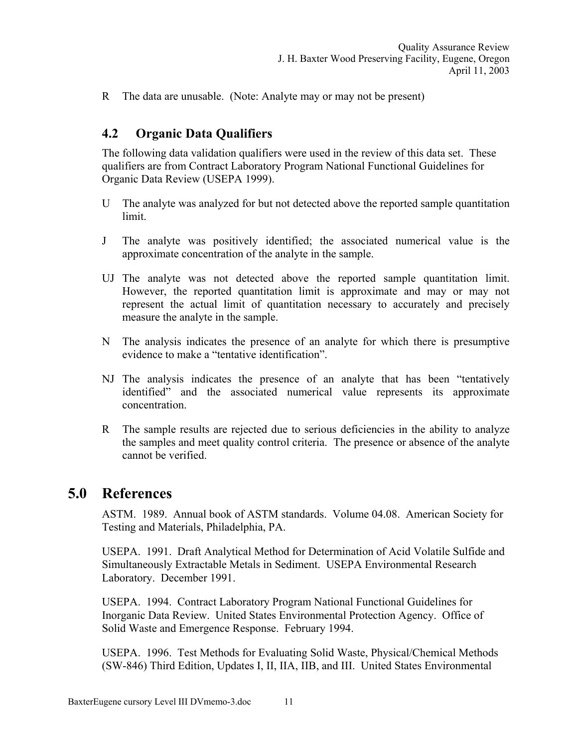R The data are unusable. (Note: Analyte may or may not be present)

#### **4.2 Organic Data Qualifiers**

The following data validation qualifiers were used in the review of this data set. These qualifiers are from Contract Laboratory Program National Functional Guidelines for Organic Data Review (USEPA 1999).

- U The analyte was analyzed for but not detected above the reported sample quantitation limit.
- J The analyte was positively identified; the associated numerical value is the approximate concentration of the analyte in the sample.
- UJ The analyte was not detected above the reported sample quantitation limit. However, the reported quantitation limit is approximate and may or may not represent the actual limit of quantitation necessary to accurately and precisely measure the analyte in the sample.
- N The analysis indicates the presence of an analyte for which there is presumptive evidence to make a "tentative identification".
- NJ The analysis indicates the presence of an analyte that has been "tentatively identified" and the associated numerical value represents its approximate concentration.
- R The sample results are rejected due to serious deficiencies in the ability to analyze the samples and meet quality control criteria. The presence or absence of the analyte cannot be verified.

## **5.0 References**

ASTM. 1989. Annual book of ASTM standards. Volume 04.08. American Society for Testing and Materials, Philadelphia, PA.

USEPA. 1991. Draft Analytical Method for Determination of Acid Volatile Sulfide and Simultaneously Extractable Metals in Sediment. USEPA Environmental Research Laboratory. December 1991.

USEPA. 1994. Contract Laboratory Program National Functional Guidelines for Inorganic Data Review. United States Environmental Protection Agency. Office of Solid Waste and Emergence Response. February 1994.

USEPA. 1996. Test Methods for Evaluating Solid Waste, Physical/Chemical Methods (SW-846) Third Edition, Updates I, II, IIA, IIB, and III. United States Environmental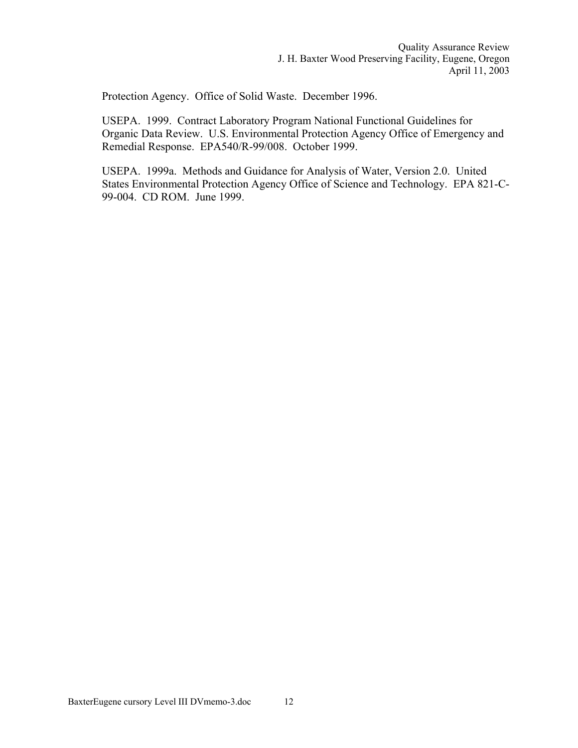Protection Agency. Office of Solid Waste. December 1996.

USEPA. 1999. Contract Laboratory Program National Functional Guidelines for Organic Data Review. U.S. Environmental Protection Agency Office of Emergency and Remedial Response. EPA540/R-99/008. October 1999.

USEPA. 1999a. Methods and Guidance for Analysis of Water, Version 2.0. United States Environmental Protection Agency Office of Science and Technology. EPA 821-C-99-004. CD ROM. June 1999.